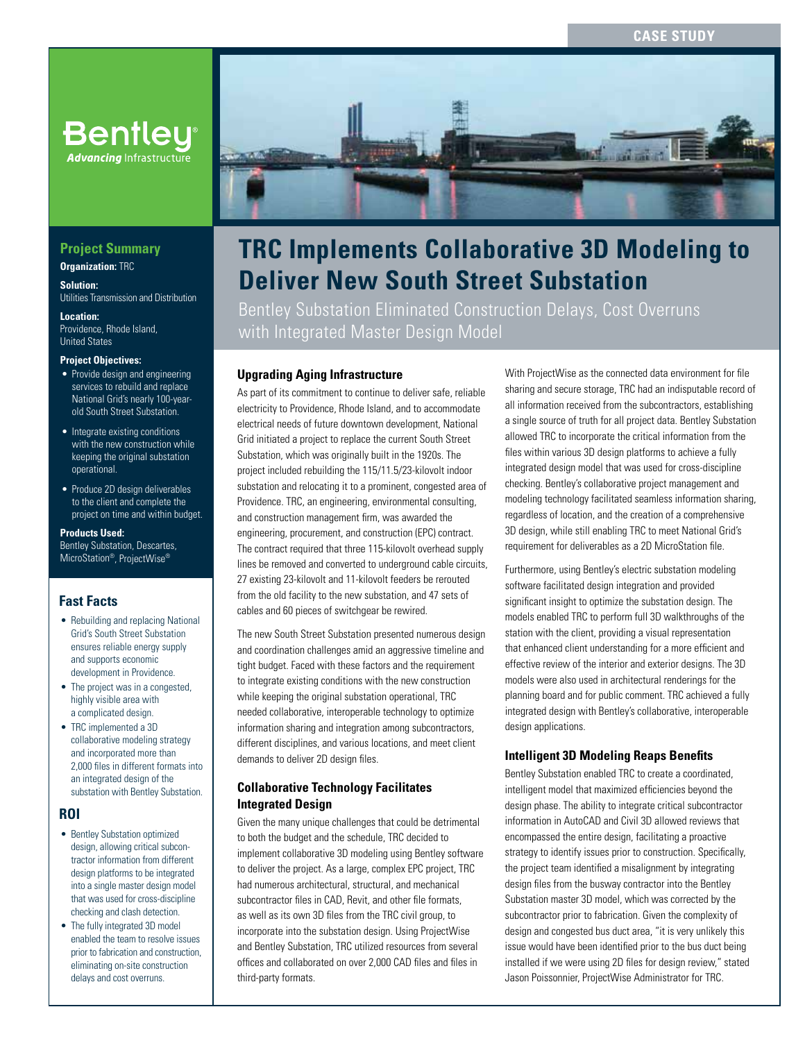# **CASE STUDY**

# **Bentley**® **Advancing** Infrastructure

# **Project Summary**

**Organization: TRC** 

**Solution:**  Utilities Transmission and Distribution

**Location:**  Providence, Rhode Island, United States

#### **Project Objectives:**

- Provide design and engineering services to rebuild and replace National Grid's nearly 100-yearold South Street Substation.
- Integrate existing conditions with the new construction while keeping the original substation operational.
- Produce 2D design deliverables to the client and complete the project on time and within budget.

**Products Used:** Bentley Substation, Descartes, MicroStation®, ProjectWise®

### **Fast Facts**

- Rebuilding and replacing National Grid's South Street Substation ensures reliable energy supply and supports economic development in Providence.
- The project was in a congested, highly visible area with a complicated design.
- TRC implemented a 3D collaborative modeling strategy and incorporated more than 2,000 files in different formats into an integrated design of the substation with Bentley Substation.

### **ROI**

- Bentley Substation optimized design, allowing critical subcontractor information from different design platforms to be integrated into a single master design model that was used for cross-discipline checking and clash detection.
- The fully integrated 3D model enabled the team to resolve issues prior to fabrication and construction, eliminating on-site construction delays and cost overruns.



# **TRC Implements Collaborative 3D Modeling to Deliver New South Street Substation**

Bentley Substation Eliminated Construction Delays, Cost Overruns with Integrated Master Design Model

### **Upgrading Aging Infrastructure**

As part of its commitment to continue to deliver safe, reliable electricity to Providence, Rhode Island, and to accommodate electrical needs of future downtown development, National Grid initiated a project to replace the current South Street Substation, which was originally built in the 1920s. The project included rebuilding the 115/11.5/23-kilovolt indoor substation and relocating it to a prominent, congested area of Providence. TRC, an engineering, environmental consulting, and construction management firm, was awarded the engineering, procurement, and construction (EPC) contract. The contract required that three 115-kilovolt overhead supply lines be removed and converted to underground cable circuits, 27 existing 23-kilovolt and 11-kilovolt feeders be rerouted from the old facility to the new substation, and 47 sets of cables and 60 pieces of switchgear be rewired.

The new South Street Substation presented numerous design and coordination challenges amid an aggressive timeline and tight budget. Faced with these factors and the requirement to integrate existing conditions with the new construction while keeping the original substation operational, TRC needed collaborative, interoperable technology to optimize information sharing and integration among subcontractors, different disciplines, and various locations, and meet client demands to deliver 2D design files.

### **Collaborative Technology Facilitates Integrated Design**

Given the many unique challenges that could be detrimental to both the budget and the schedule, TRC decided to implement collaborative 3D modeling using Bentley software to deliver the project. As a large, complex EPC project, TRC had numerous architectural, structural, and mechanical subcontractor files in CAD, Revit, and other file formats, as well as its own 3D files from the TRC civil group, to incorporate into the substation design. Using ProjectWise and Bentley Substation, TRC utilized resources from several offices and collaborated on over 2,000 CAD files and files in third-party formats.

With ProjectWise as the connected data environment for file sharing and secure storage, TRC had an indisputable record of all information received from the subcontractors, establishing a single source of truth for all project data. Bentley Substation allowed TRC to incorporate the critical information from the files within various 3D design platforms to achieve a fully integrated design model that was used for cross-discipline checking. Bentley's collaborative project management and modeling technology facilitated seamless information sharing, regardless of location, and the creation of a comprehensive 3D design, while still enabling TRC to meet National Grid's requirement for deliverables as a 2D MicroStation file.

Furthermore, using Bentley's electric substation modeling software facilitated design integration and provided significant insight to optimize the substation design. The models enabled TRC to perform full 3D walkthroughs of the station with the client, providing a visual representation that enhanced client understanding for a more efficient and effective review of the interior and exterior designs. The 3D models were also used in architectural renderings for the planning board and for public comment. TRC achieved a fully integrated design with Bentley's collaborative, interoperable design applications.

### **Intelligent 3D Modeling Reaps Benefits**

Bentley Substation enabled TRC to create a coordinated, intelligent model that maximized efficiencies beyond the design phase. The ability to integrate critical subcontractor information in AutoCAD and Civil 3D allowed reviews that encompassed the entire design, facilitating a proactive strategy to identify issues prior to construction. Specifically, the project team identified a misalignment by integrating design files from the busway contractor into the Bentley Substation master 3D model, which was corrected by the subcontractor prior to fabrication. Given the complexity of design and congested bus duct area, "it is very unlikely this issue would have been identified prior to the bus duct being installed if we were using 2D files for design review," stated Jason Poissonnier, ProjectWise Administrator for TRC.